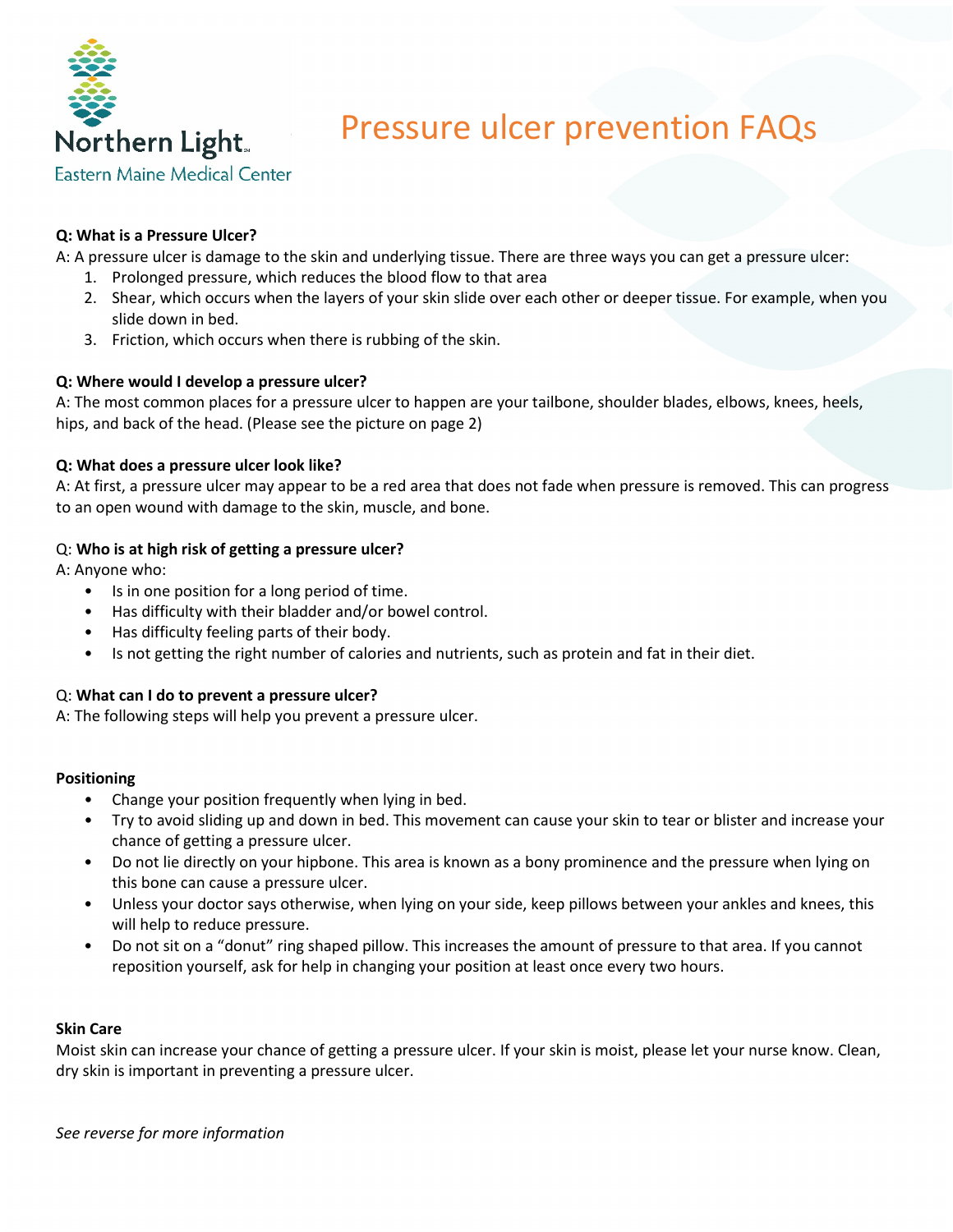

# Pressure ulcer prevention FAQs

### **Q: What is a Pressure Ulcer?**

A: A pressure ulcer is damage to the skin and underlying tissue. There are three ways you can get a pressure ulcer:

- 1. Prolonged pressure, which reduces the blood flow to that area
- 2. Shear, which occurs when the layers of your skin slide over each other or deeper tissue. For example, when you slide down in bed.
- 3. Friction, which occurs when there is rubbing of the skin.

#### **Q: Where would I develop a pressure ulcer?**

A: The most common places for a pressure ulcer to happen are your tailbone, shoulder blades, elbows, knees, heels, hips, and back of the head. (Please see the picture on page 2)

#### **Q: What does a pressure ulcer look like?**

A: At first, a pressure ulcer may appear to be a red area that does not fade when pressure is removed. This can progress to an open wound with damage to the skin, muscle, and bone.

#### Q: **Who is at high risk of getting a pressure ulcer?**

A: Anyone who:

- Is in one position for a long period of time.
- Has difficulty with their bladder and/or bowel control.
- Has difficulty feeling parts of their body.
- Is not getting the right number of calories and nutrients, such as protein and fat in their diet.

#### Q: **What can I do to prevent a pressure ulcer?**

A: The following steps will help you prevent a pressure ulcer.

#### **Positioning**

- Change your position frequently when lying in bed.
- Try to avoid sliding up and down in bed. This movement can cause your skin to tear or blister and increase your chance of getting a pressure ulcer.
- Do not lie directly on your hipbone. This area is known as a bony prominence and the pressure when lying on this bone can cause a pressure ulcer.
- Unless your doctor says otherwise, when lying on your side, keep pillows between your ankles and knees, this will help to reduce pressure.
- Do not sit on a "donut" ring shaped pillow. This increases the amount of pressure to that area. If you cannot reposition yourself, ask for help in changing your position at least once every two hours.

#### **Skin Care**

Moist skin can increase your chance of getting a pressure ulcer. If your skin is moist, please let your nurse know. Clean, dry skin is important in preventing a pressure ulcer.